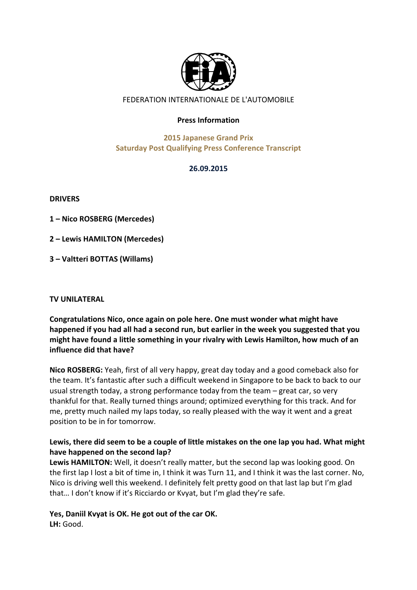

# FEDERATION INTERNATIONALE DE L'AUTOMOBILE

#### **Press Information**

# **2015 Japanese Grand Prix Saturday Post Qualifying Press Conference Transcript**

#### **26.09.2015**

**DRIVERS**

**1%– Nico%ROSBERG%(Mercedes)%**

**2%– Lewis%HAMILTON%(Mercedes)**

**3%– Valtteri%BOTTAS%(Willams)**

#### **TV UNILATERAL**

Congratulations Nico, once again on pole here. One must wonder what might have happened if you had all had a second run, but earlier in the week you suggested that you **might have found a little something in your rivalry with Lewis Hamilton, how much of an influence did that have?** 

**Nico ROSBERG:** Yeah, first of all very happy, great day today and a good comeback also for the team. It's fantastic after such a difficult weekend in Singapore to be back to back to our usual strength today, a strong performance today from the team  $-$  great car, so very thankful for that. Really turned things around; optimized everything for this track. And for me, pretty much nailed my laps today, so really pleased with the way it went and a great position to be in for tomorrow.

# Lewis, there did seem to be a couple of little mistakes on the one lap you had. What might have happened on the second lap?

Lewis HAMILTON: Well, it doesn't really matter, but the second lap was looking good. On the first lap I lost a bit of time in, I think it was Turn 11, and I think it was the last corner. No, Nico is driving well this weekend. I definitely felt pretty good on that last lap but I'm glad that... I don't know if it's Ricciardo or Kvyat, but I'm glad they're safe.

# Yes, Daniil Kvyat is OK. He got out of the car OK.

LH: Good.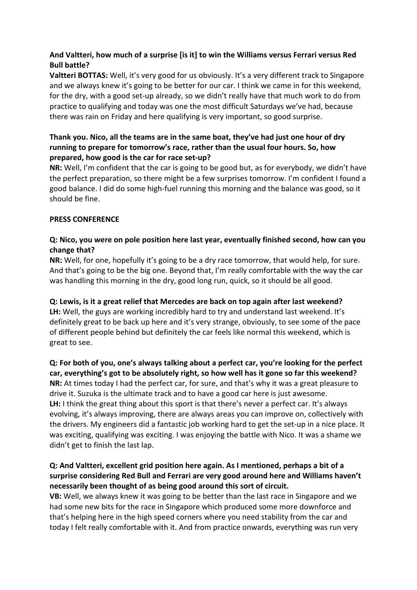## And Valtteri, how much of a surprise [is it] to win the Williams versus Ferrari versus Red **Bull%battle?%**

Valtteri BOTTAS: Well, it's very good for us obviously. It's a very different track to Singapore and we always knew it's going to be better for our car. I think we came in for this weekend, for the dry, with a good set-up already, so we didn't really have that much work to do from practice to qualifying and today was one the most difficult Saturdays we've had, because there was rain on Friday and here qualifying is very important, so good surprise.

# Thank you. Nico, all the teams are in the same boat, they've had just one hour of dry running to prepare for tomorrow's race, rather than the usual four hours. So, how prepared, how good is the car for race set-up?

**NR:** Well, I'm confident that the car is going to be good but, as for everybody, we didn't have the perfect preparation, so there might be a few surprises tomorrow. I'm confident I found a good balance. I did do some high-fuel running this morning and the balance was good, so it should be fine.

# **PRESS CONFERENCE**

# **Q: Nico, you were on pole position here last year, eventually finished second, how can you** change that?

**NR:** Well, for one, hopefully it's going to be a dry race tomorrow, that would help, for sure. And that's going to be the big one. Beyond that, I'm really comfortable with the way the car was handling this morning in the dry, good long run, quick, so it should be all good.

# **Q:%Lewis,%is%it%a%great%relief%that%Mercedes%are%back%on%top%again after%last%weekend?%**

LH: Well, the guys are working incredibly hard to try and understand last weekend. It's definitely great to be back up here and it's very strange, obviously, to see some of the pace of different people behind but definitely the car feels like normal this weekend, which is great to see.

#### **Q: For both of you, one's always talking about a perfect car, you're looking for the perfect** car, everything's got to be absolutely right, so how well has it gone so far this weekend?

**NR:** At times today I had the perfect car, for sure, and that's why it was a great pleasure to drive it. Suzuka is the ultimate track and to have a good car here is just awesome. **LH:** I think the great thing about this sport is that there's never a perfect car. It's always evolving, it's always improving, there are always areas you can improve on, collectively with the drivers. My engineers did a fantastic job working hard to get the set-up in a nice place. It was exciting, qualifying was exciting. I was enjoying the battle with Nico. It was a shame we didn't get to finish the last lap.

# **Q: And Valtteri, excellent grid position here again. As I mentioned, perhaps a bit of a** surprise considering Red Bull and Ferrari are very good around here and Williams haven't necessarily been thought of as being good around this sort of circuit.

VB: Well, we always knew it was going to be better than the last race in Singapore and we had some new bits for the race in Singapore which produced some more downforce and that's helping here in the high speed corners where you need stability from the car and today I felt really comfortable with it. And from practice onwards, everything was run very